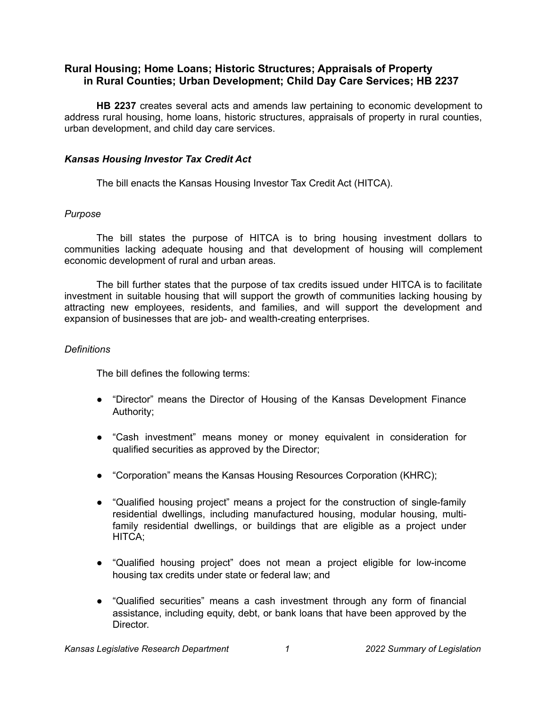# **Rural Housing; Home Loans; Historic Structures; Appraisals of Property in Rural Counties; Urban Development; Child Day Care Services; HB 2237**

**HB 2237** creates several acts and amends law pertaining to economic development to address rural housing, home loans, historic structures, appraisals of property in rural counties, urban development, and child day care services.

## *Kansas Housing Investor Tax Credit Act*

The bill enacts the Kansas Housing Investor Tax Credit Act (HITCA).

# *Purpose*

The bill states the purpose of HITCA is to bring housing investment dollars to communities lacking adequate housing and that development of housing will complement economic development of rural and urban areas.

The bill further states that the purpose of tax credits issued under HITCA is to facilitate investment in suitable housing that will support the growth of communities lacking housing by attracting new employees, residents, and families, and will support the development and expansion of businesses that are job- and wealth-creating enterprises.

# *Definitions*

The bill defines the following terms:

- "Director" means the Director of Housing of the Kansas Development Finance Authority;
- "Cash investment" means money or money equivalent in consideration for qualified securities as approved by the Director;
- "Corporation" means the Kansas Housing Resources Corporation (KHRC);
- "Qualified housing project" means a project for the construction of single-family residential dwellings, including manufactured housing, modular housing, multifamily residential dwellings, or buildings that are eligible as a project under HITCA;
- "Qualified housing project" does not mean a project eligible for low-income housing tax credits under state or federal law; and
- "Qualified securities" means a cash investment through any form of financial assistance, including equity, debt, or bank loans that have been approved by the Director.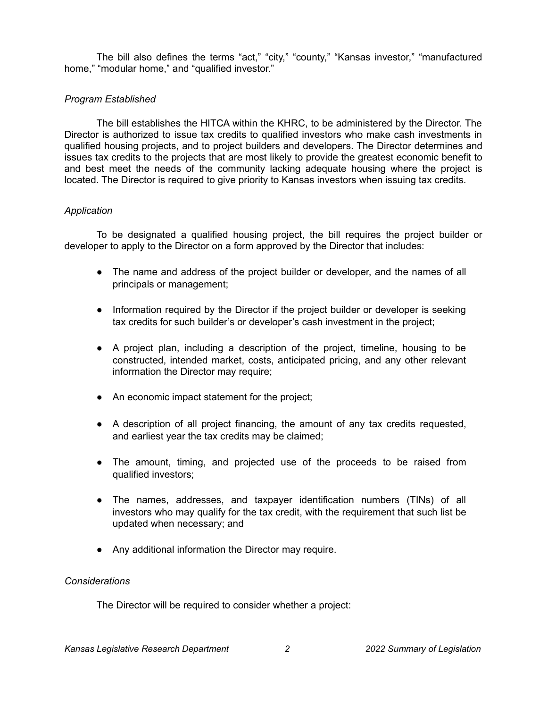The bill also defines the terms "act," "city," "county," "Kansas investor," "manufactured home," "modular home," and "qualified investor."

# *Program Established*

The bill establishes the HITCA within the KHRC, to be administered by the Director. The Director is authorized to issue tax credits to qualified investors who make cash investments in qualified housing projects, and to project builders and developers. The Director determines and issues tax credits to the projects that are most likely to provide the greatest economic benefit to and best meet the needs of the community lacking adequate housing where the project is located. The Director is required to give priority to Kansas investors when issuing tax credits.

# *Application*

To be designated a qualified housing project, the bill requires the project builder or developer to apply to the Director on a form approved by the Director that includes:

- The name and address of the project builder or developer, and the names of all principals or management;
- Information required by the Director if the project builder or developer is seeking tax credits for such builder's or developer's cash investment in the project;
- A project plan, including a description of the project, timeline, housing to be constructed, intended market, costs, anticipated pricing, and any other relevant information the Director may require;
- An economic impact statement for the project;
- A description of all project financing, the amount of any tax credits requested, and earliest year the tax credits may be claimed;
- The amount, timing, and projected use of the proceeds to be raised from qualified investors;
- The names, addresses, and taxpayer identification numbers (TINs) of all investors who may qualify for the tax credit, with the requirement that such list be updated when necessary; and
- Any additional information the Director may require.

## *Considerations*

The Director will be required to consider whether a project: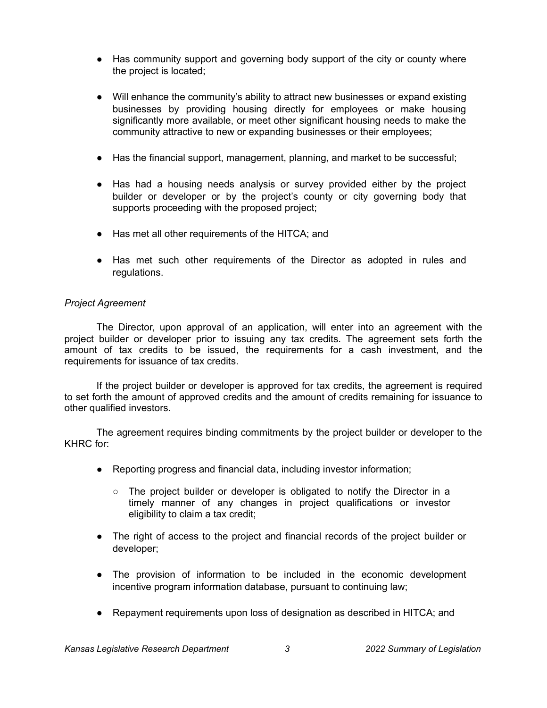- Has community support and governing body support of the city or county where the project is located;
- Will enhance the community's ability to attract new businesses or expand existing businesses by providing housing directly for employees or make housing significantly more available, or meet other significant housing needs to make the community attractive to new or expanding businesses or their employees;
- Has the financial support, management, planning, and market to be successful;
- Has had a housing needs analysis or survey provided either by the project builder or developer or by the project's county or city governing body that supports proceeding with the proposed project;
- Has met all other requirements of the HITCA; and
- Has met such other requirements of the Director as adopted in rules and regulations.

## *Project Agreement*

The Director, upon approval of an application, will enter into an agreement with the project builder or developer prior to issuing any tax credits. The agreement sets forth the amount of tax credits to be issued, the requirements for a cash investment, and the requirements for issuance of tax credits.

If the project builder or developer is approved for tax credits, the agreement is required to set forth the amount of approved credits and the amount of credits remaining for issuance to other qualified investors.

The agreement requires binding commitments by the project builder or developer to the KHRC for:

- Reporting progress and financial data, including investor information;
	- $\circ$  The project builder or developer is obligated to notify the Director in a timely manner of any changes in project qualifications or investor eligibility to claim a tax credit;
- The right of access to the project and financial records of the project builder or developer;
- The provision of information to be included in the economic development incentive program information database, pursuant to continuing law;
- Repayment requirements upon loss of designation as described in HITCA; and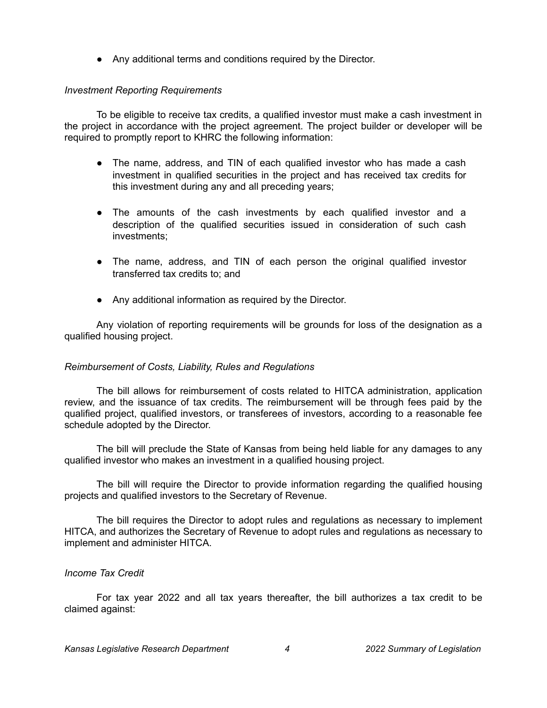● Any additional terms and conditions required by the Director.

## *Investment Reporting Requirements*

To be eligible to receive tax credits, a qualified investor must make a cash investment in the project in accordance with the project agreement. The project builder or developer will be required to promptly report to KHRC the following information:

- The name, address, and TIN of each qualified investor who has made a cash investment in qualified securities in the project and has received tax credits for this investment during any and all preceding years;
- The amounts of the cash investments by each qualified investor and a description of the qualified securities issued in consideration of such cash investments;
- The name, address, and TIN of each person the original qualified investor transferred tax credits to; and
- Any additional information as required by the Director.

Any violation of reporting requirements will be grounds for loss of the designation as a qualified housing project.

#### *Reimbursement of Costs, Liability, Rules and Regulations*

The bill allows for reimbursement of costs related to HITCA administration, application review, and the issuance of tax credits. The reimbursement will be through fees paid by the qualified project, qualified investors, or transferees of investors, according to a reasonable fee schedule adopted by the Director.

The bill will preclude the State of Kansas from being held liable for any damages to any qualified investor who makes an investment in a qualified housing project.

The bill will require the Director to provide information regarding the qualified housing projects and qualified investors to the Secretary of Revenue.

The bill requires the Director to adopt rules and regulations as necessary to implement HITCA, and authorizes the Secretary of Revenue to adopt rules and regulations as necessary to implement and administer HITCA.

#### *Income Tax Credit*

For tax year 2022 and all tax years thereafter, the bill authorizes a tax credit to be claimed against: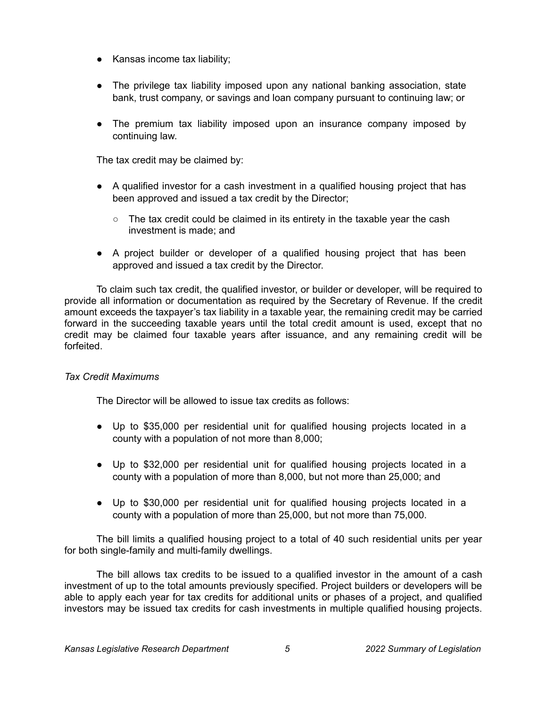- Kansas income tax liability;
- The privilege tax liability imposed upon any national banking association, state bank, trust company, or savings and loan company pursuant to continuing law; or
- The premium tax liability imposed upon an insurance company imposed by continuing law.

The tax credit may be claimed by:

- A qualified investor for a cash investment in a qualified housing project that has been approved and issued a tax credit by the Director;
	- $\circ$  The tax credit could be claimed in its entirety in the taxable year the cash investment is made; and
- A project builder or developer of a qualified housing project that has been approved and issued a tax credit by the Director.

To claim such tax credit, the qualified investor, or builder or developer, will be required to provide all information or documentation as required by the Secretary of Revenue. If the credit amount exceeds the taxpayer's tax liability in a taxable year, the remaining credit may be carried forward in the succeeding taxable years until the total credit amount is used, except that no credit may be claimed four taxable years after issuance, and any remaining credit will be forfeited.

## *Tax Credit Maximums*

The Director will be allowed to issue tax credits as follows:

- Up to \$35,000 per residential unit for qualified housing projects located in a county with a population of not more than 8,000;
- Up to \$32,000 per residential unit for qualified housing projects located in a county with a population of more than 8,000, but not more than 25,000; and
- Up to \$30,000 per residential unit for qualified housing projects located in a county with a population of more than 25,000, but not more than 75,000.

The bill limits a qualified housing project to a total of 40 such residential units per year for both single-family and multi-family dwellings.

The bill allows tax credits to be issued to a qualified investor in the amount of a cash investment of up to the total amounts previously specified. Project builders or developers will be able to apply each year for tax credits for additional units or phases of a project, and qualified investors may be issued tax credits for cash investments in multiple qualified housing projects.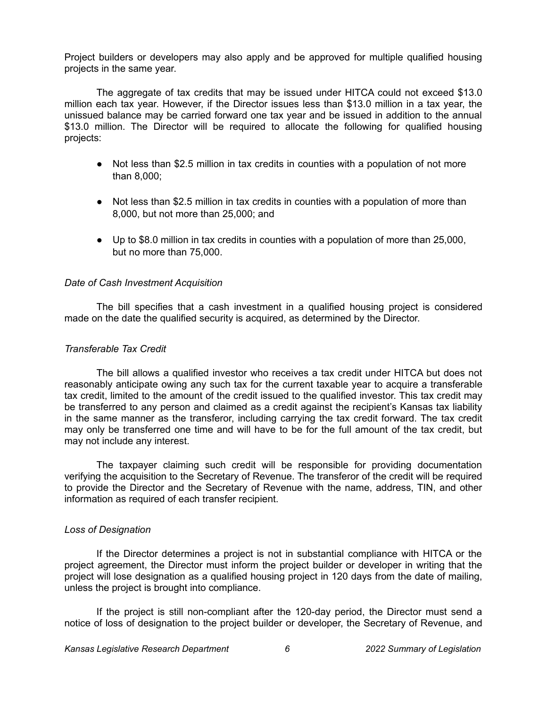Project builders or developers may also apply and be approved for multiple qualified housing projects in the same year.

The aggregate of tax credits that may be issued under HITCA could not exceed \$13.0 million each tax year. However, if the Director issues less than \$13.0 million in a tax year, the unissued balance may be carried forward one tax year and be issued in addition to the annual \$13.0 million. The Director will be required to allocate the following for qualified housing projects:

- Not less than \$2.5 million in tax credits in counties with a population of not more than 8,000;
- Not less than \$2.5 million in tax credits in counties with a population of more than 8,000, but not more than 25,000; and
- Up to \$8.0 million in tax credits in counties with a population of more than 25,000, but no more than 75,000.

### *Date of Cash Investment Acquisition*

The bill specifies that a cash investment in a qualified housing project is considered made on the date the qualified security is acquired, as determined by the Director.

## *Transferable Tax Credit*

The bill allows a qualified investor who receives a tax credit under HITCA but does not reasonably anticipate owing any such tax for the current taxable year to acquire a transferable tax credit, limited to the amount of the credit issued to the qualified investor. This tax credit may be transferred to any person and claimed as a credit against the recipient's Kansas tax liability in the same manner as the transferor, including carrying the tax credit forward. The tax credit may only be transferred one time and will have to be for the full amount of the tax credit, but may not include any interest.

The taxpayer claiming such credit will be responsible for providing documentation verifying the acquisition to the Secretary of Revenue. The transferor of the credit will be required to provide the Director and the Secretary of Revenue with the name, address, TIN, and other information as required of each transfer recipient.

#### *Loss of Designation*

If the Director determines a project is not in substantial compliance with HITCA or the project agreement, the Director must inform the project builder or developer in writing that the project will lose designation as a qualified housing project in 120 days from the date of mailing, unless the project is brought into compliance.

If the project is still non-compliant after the 120-day period, the Director must send a notice of loss of designation to the project builder or developer, the Secretary of Revenue, and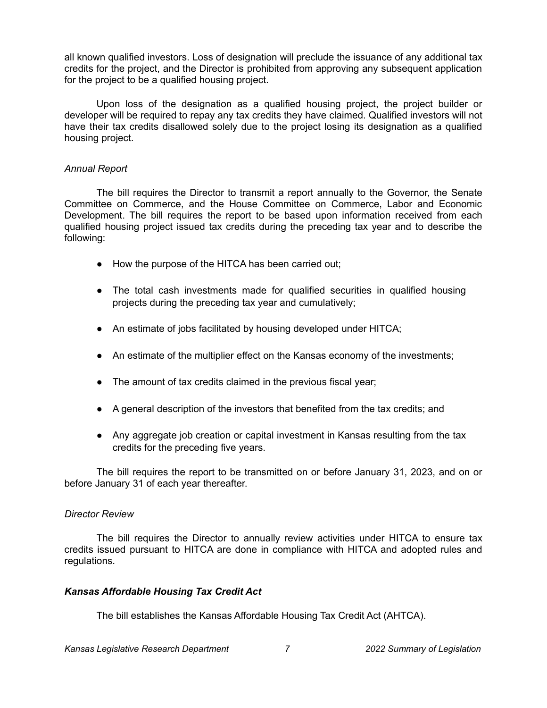all known qualified investors. Loss of designation will preclude the issuance of any additional tax credits for the project, and the Director is prohibited from approving any subsequent application for the project to be a qualified housing project.

Upon loss of the designation as a qualified housing project, the project builder or developer will be required to repay any tax credits they have claimed. Qualified investors will not have their tax credits disallowed solely due to the project losing its designation as a qualified housing project.

### *Annual Report*

The bill requires the Director to transmit a report annually to the Governor, the Senate Committee on Commerce, and the House Committee on Commerce, Labor and Economic Development. The bill requires the report to be based upon information received from each qualified housing project issued tax credits during the preceding tax year and to describe the following:

- How the purpose of the HITCA has been carried out;
- The total cash investments made for qualified securities in qualified housing projects during the preceding tax year and cumulatively;
- An estimate of jobs facilitated by housing developed under HITCA;
- An estimate of the multiplier effect on the Kansas economy of the investments;
- The amount of tax credits claimed in the previous fiscal year;
- A general description of the investors that benefited from the tax credits; and
- Any aggregate job creation or capital investment in Kansas resulting from the tax credits for the preceding five years.

The bill requires the report to be transmitted on or before January 31, 2023, and on or before January 31 of each year thereafter.

## *Director Review*

The bill requires the Director to annually review activities under HITCA to ensure tax credits issued pursuant to HITCA are done in compliance with HITCA and adopted rules and regulations.

## *Kansas Affordable Housing Tax Credit Act*

The bill establishes the Kansas Affordable Housing Tax Credit Act (AHTCA).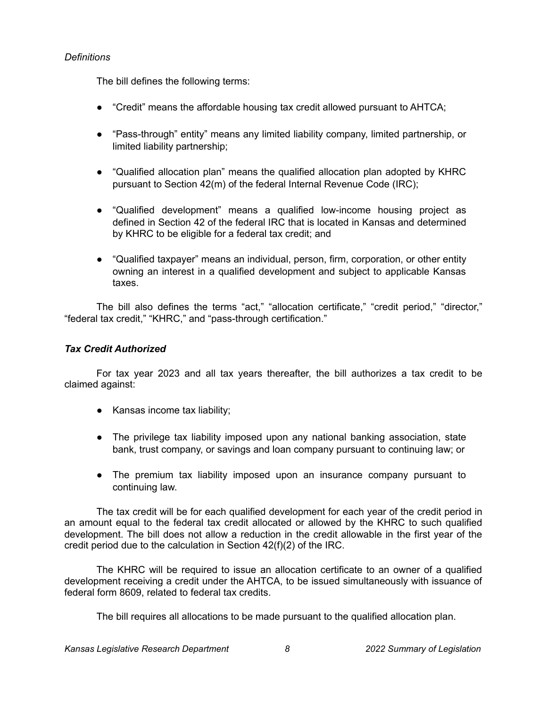# *Definitions*

The bill defines the following terms:

- "Credit" means the affordable housing tax credit allowed pursuant to AHTCA;
- "Pass-through" entity" means any limited liability company, limited partnership, or limited liability partnership;
- "Qualified allocation plan" means the qualified allocation plan adopted by KHRC pursuant to Section 42(m) of the federal Internal Revenue Code (IRC);
- "Qualified development" means a qualified low-income housing project as defined in Section 42 of the federal IRC that is located in Kansas and determined by KHRC to be eligible for a federal tax credit; and
- "Qualified taxpayer" means an individual, person, firm, corporation, or other entity owning an interest in a qualified development and subject to applicable Kansas taxes.

The bill also defines the terms "act," "allocation certificate," "credit period," "director," "federal tax credit," "KHRC," and "pass-through certification."

# *Tax Credit Authorized*

For tax year 2023 and all tax years thereafter, the bill authorizes a tax credit to be claimed against:

- Kansas income tax liability;
- The privilege tax liability imposed upon any national banking association, state bank, trust company, or savings and loan company pursuant to continuing law; or
- The premium tax liability imposed upon an insurance company pursuant to continuing law.

The tax credit will be for each qualified development for each year of the credit period in an amount equal to the federal tax credit allocated or allowed by the KHRC to such qualified development. The bill does not allow a reduction in the credit allowable in the first year of the credit period due to the calculation in Section 42(f)(2) of the IRC.

The KHRC will be required to issue an allocation certificate to an owner of a qualified development receiving a credit under the AHTCA, to be issued simultaneously with issuance of federal form 8609, related to federal tax credits.

The bill requires all allocations to be made pursuant to the qualified allocation plan.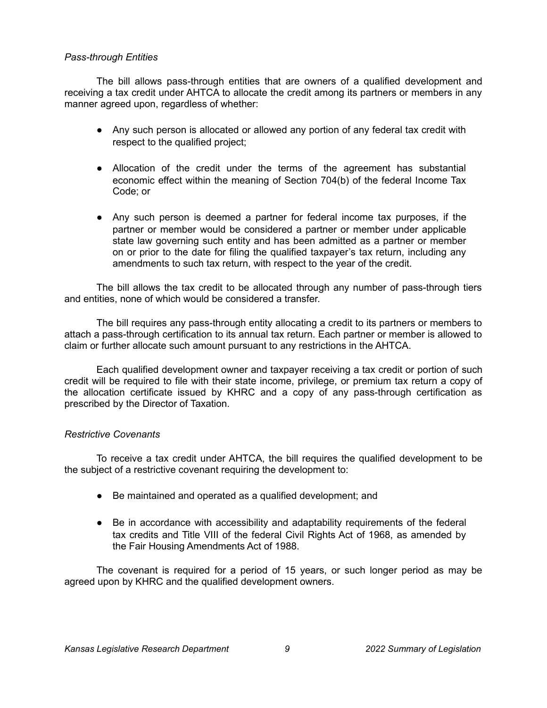### *Pass-through Entities*

The bill allows pass-through entities that are owners of a qualified development and receiving a tax credit under AHTCA to allocate the credit among its partners or members in any manner agreed upon, regardless of whether:

- Any such person is allocated or allowed any portion of any federal tax credit with respect to the qualified project;
- Allocation of the credit under the terms of the agreement has substantial economic effect within the meaning of Section 704(b) of the federal Income Tax Code; or
- Any such person is deemed a partner for federal income tax purposes, if the partner or member would be considered a partner or member under applicable state law governing such entity and has been admitted as a partner or member on or prior to the date for filing the qualified taxpayer's tax return, including any amendments to such tax return, with respect to the year of the credit.

The bill allows the tax credit to be allocated through any number of pass-through tiers and entities, none of which would be considered a transfer.

The bill requires any pass-through entity allocating a credit to its partners or members to attach a pass-through certification to its annual tax return. Each partner or member is allowed to claim or further allocate such amount pursuant to any restrictions in the AHTCA.

Each qualified development owner and taxpayer receiving a tax credit or portion of such credit will be required to file with their state income, privilege, or premium tax return a copy of the allocation certificate issued by KHRC and a copy of any pass-through certification as prescribed by the Director of Taxation.

## *Restrictive Covenants*

To receive a tax credit under AHTCA, the bill requires the qualified development to be the subject of a restrictive covenant requiring the development to:

- Be maintained and operated as a qualified development; and
- Be in accordance with accessibility and adaptability requirements of the federal tax credits and Title VIII of the federal Civil Rights Act of 1968, as amended by the Fair Housing Amendments Act of 1988.

The covenant is required for a period of 15 years, or such longer period as may be agreed upon by KHRC and the qualified development owners.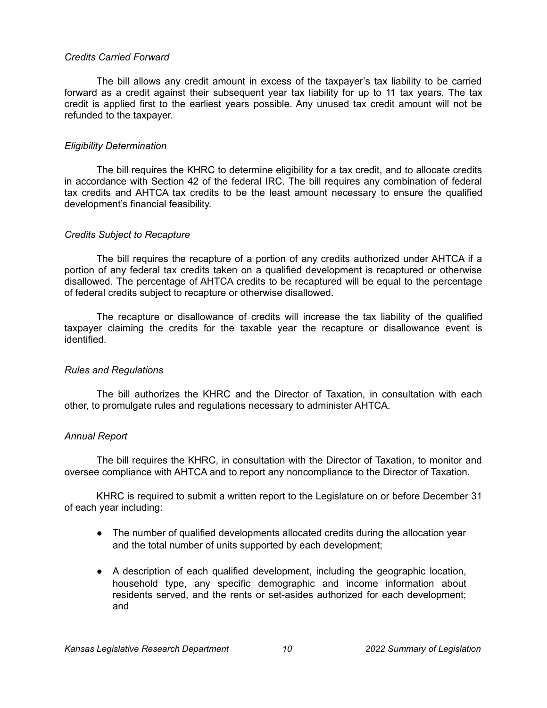#### *Credits Carried Forward*

The bill allows any credit amount in excess of the taxpayer's tax liability to be carried forward as a credit against their subsequent year tax liability for up to 11 tax years. The tax credit is applied first to the earliest years possible. Any unused tax credit amount will not be refunded to the taxpayer.

## *Eligibility Determination*

The bill requires the KHRC to determine eligibility for a tax credit, and to allocate credits in accordance with Section 42 of the federal IRC. The bill requires any combination of federal tax credits and AHTCA tax credits to be the least amount necessary to ensure the qualified development's financial feasibility.

### *Credits Subject to Recapture*

The bill requires the recapture of a portion of any credits authorized under AHTCA if a portion of any federal tax credits taken on a qualified development is recaptured or otherwise disallowed. The percentage of AHTCA credits to be recaptured will be equal to the percentage of federal credits subject to recapture or otherwise disallowed.

The recapture or disallowance of credits will increase the tax liability of the qualified taxpayer claiming the credits for the taxable year the recapture or disallowance event is identified.

## *Rules and Regulations*

The bill authorizes the KHRC and the Director of Taxation, in consultation with each other, to promulgate rules and regulations necessary to administer AHTCA.

## *Annual Report*

The bill requires the KHRC, in consultation with the Director of Taxation, to monitor and oversee compliance with AHTCA and to report any noncompliance to the Director of Taxation.

KHRC is required to submit a written report to the Legislature on or before December 31 of each year including:

- The number of qualified developments allocated credits during the allocation year and the total number of units supported by each development;
- A description of each qualified development, including the geographic location, household type, any specific demographic and income information about residents served, and the rents or set-asides authorized for each development; and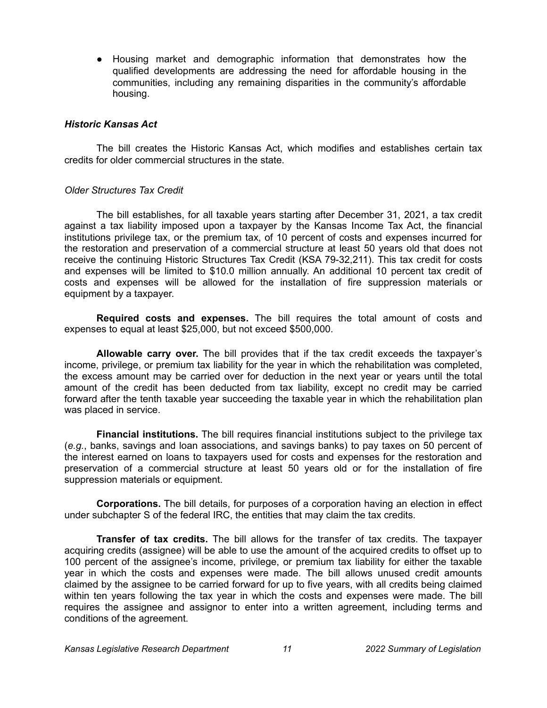● Housing market and demographic information that demonstrates how the qualified developments are addressing the need for affordable housing in the communities, including any remaining disparities in the community's affordable housing.

#### *Historic Kansas Act*

The bill creates the Historic Kansas Act, which modifies and establishes certain tax credits for older commercial structures in the state.

### *Older Structures Tax Credit*

The bill establishes, for all taxable years starting after December 31, 2021, a tax credit against a tax liability imposed upon a taxpayer by the Kansas Income Tax Act, the financial institutions privilege tax, or the premium tax, of 10 percent of costs and expenses incurred for the restoration and preservation of a commercial structure at least 50 years old that does not receive the continuing Historic Structures Tax Credit (KSA 79-32,211). This tax credit for costs and expenses will be limited to \$10.0 million annually. An additional 10 percent tax credit of costs and expenses will be allowed for the installation of fire suppression materials or equipment by a taxpayer.

**Required costs and expenses.** The bill requires the total amount of costs and expenses to equal at least \$25,000, but not exceed \$500,000.

**Allowable carry over.** The bill provides that if the tax credit exceeds the taxpayer's income, privilege, or premium tax liability for the year in which the rehabilitation was completed, the excess amount may be carried over for deduction in the next year or years until the total amount of the credit has been deducted from tax liability, except no credit may be carried forward after the tenth taxable year succeeding the taxable year in which the rehabilitation plan was placed in service.

**Financial institutions.** The bill requires financial institutions subject to the privilege tax (*e.g.*, banks, savings and loan associations, and savings banks) to pay taxes on 50 percent of the interest earned on loans to taxpayers used for costs and expenses for the restoration and preservation of a commercial structure at least 50 years old or for the installation of fire suppression materials or equipment.

**Corporations.** The bill details, for purposes of a corporation having an election in effect under subchapter S of the federal IRC, the entities that may claim the tax credits.

**Transfer of tax credits.** The bill allows for the transfer of tax credits. The taxpayer acquiring credits (assignee) will be able to use the amount of the acquired credits to offset up to 100 percent of the assignee's income, privilege, or premium tax liability for either the taxable year in which the costs and expenses were made. The bill allows unused credit amounts claimed by the assignee to be carried forward for up to five years, with all credits being claimed within ten years following the tax year in which the costs and expenses were made. The bill requires the assignee and assignor to enter into a written agreement, including terms and conditions of the agreement.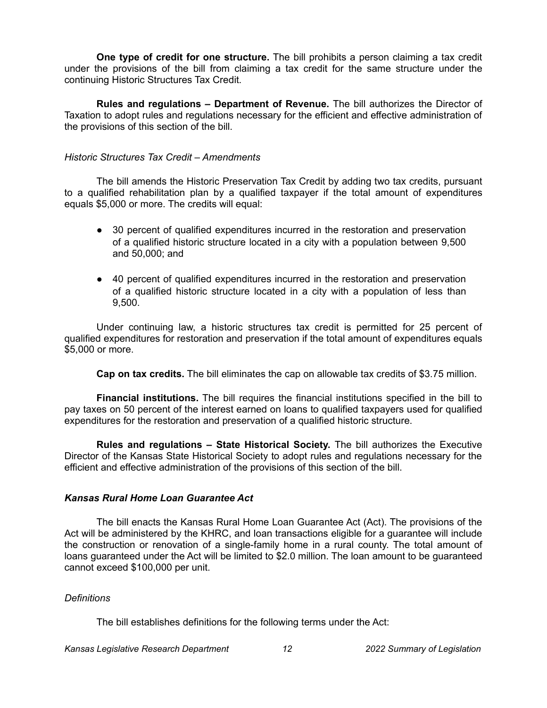**One type of credit for one structure.** The bill prohibits a person claiming a tax credit under the provisions of the bill from claiming a tax credit for the same structure under the continuing Historic Structures Tax Credit.

**Rules and regulations – Department of Revenue.** The bill authorizes the Director of Taxation to adopt rules and regulations necessary for the efficient and effective administration of the provisions of this section of the bill.

## *Historic Structures Tax Credit – Amendments*

The bill amends the Historic Preservation Tax Credit by adding two tax credits, pursuant to a qualified rehabilitation plan by a qualified taxpayer if the total amount of expenditures equals \$5,000 or more. The credits will equal:

- 30 percent of qualified expenditures incurred in the restoration and preservation of a qualified historic structure located in a city with a population between 9,500 and 50,000; and
- 40 percent of qualified expenditures incurred in the restoration and preservation of a qualified historic structure located in a city with a population of less than 9,500.

Under continuing law, a historic structures tax credit is permitted for 25 percent of qualified expenditures for restoration and preservation if the total amount of expenditures equals \$5,000 or more.

**Cap on tax credits.** The bill eliminates the cap on allowable tax credits of \$3.75 million.

**Financial institutions.** The bill requires the financial institutions specified in the bill to pay taxes on 50 percent of the interest earned on loans to qualified taxpayers used for qualified expenditures for the restoration and preservation of a qualified historic structure.

**Rules and regulations – State Historical Society.** The bill authorizes the Executive Director of the Kansas State Historical Society to adopt rules and regulations necessary for the efficient and effective administration of the provisions of this section of the bill.

## *Kansas Rural Home Loan Guarantee Act*

The bill enacts the Kansas Rural Home Loan Guarantee Act (Act). The provisions of the Act will be administered by the KHRC, and loan transactions eligible for a guarantee will include the construction or renovation of a single-family home in a rural county. The total amount of loans guaranteed under the Act will be limited to \$2.0 million. The loan amount to be guaranteed cannot exceed \$100,000 per unit.

#### *Definitions*

The bill establishes definitions for the following terms under the Act: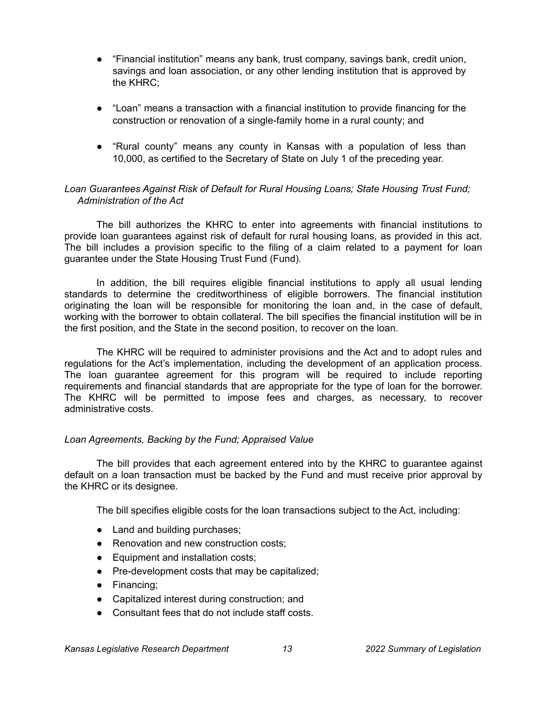- "Financial institution" means any bank, trust company, savings bank, credit union, savings and loan association, or any other lending institution that is approved by the KHRC;
- "Loan" means a transaction with a financial institution to provide financing for the construction or renovation of a single-family home in a rural county; and
- "Rural county" means any county in Kansas with a population of less than 10,000, as certified to the Secretary of State on July 1 of the preceding year.

## *Loan Guarantees Against Risk of Default for Rural Housing Loans; State Housing Trust Fund; Administration of the Act*

The bill authorizes the KHRC to enter into agreements with financial institutions to provide loan guarantees against risk of default for rural housing loans, as provided in this act. The bill includes a provision specific to the filing of a claim related to a payment for loan guarantee under the State Housing Trust Fund (Fund).

In addition, the bill requires eligible financial institutions to apply all usual lending standards to determine the creditworthiness of eligible borrowers. The financial institution originating the loan will be responsible for monitoring the loan and, in the case of default, working with the borrower to obtain collateral. The bill specifies the financial institution will be in the first position, and the State in the second position, to recover on the loan.

The KHRC will be required to administer provisions and the Act and to adopt rules and regulations for the Act's implementation, including the development of an application process. The loan guarantee agreement for this program will be required to include reporting requirements and financial standards that are appropriate for the type of loan for the borrower. The KHRC will be permitted to impose fees and charges, as necessary, to recover administrative costs.

## *Loan Agreements, Backing by the Fund; Appraised Value*

The bill provides that each agreement entered into by the KHRC to guarantee against default on a loan transaction must be backed by the Fund and must receive prior approval by the KHRC or its designee.

The bill specifies eligible costs for the loan transactions subject to the Act, including:

- Land and building purchases;
- Renovation and new construction costs;
- Equipment and installation costs;
- Pre-development costs that may be capitalized;
- Financing;
- Capitalized interest during construction; and
- Consultant fees that do not include staff costs.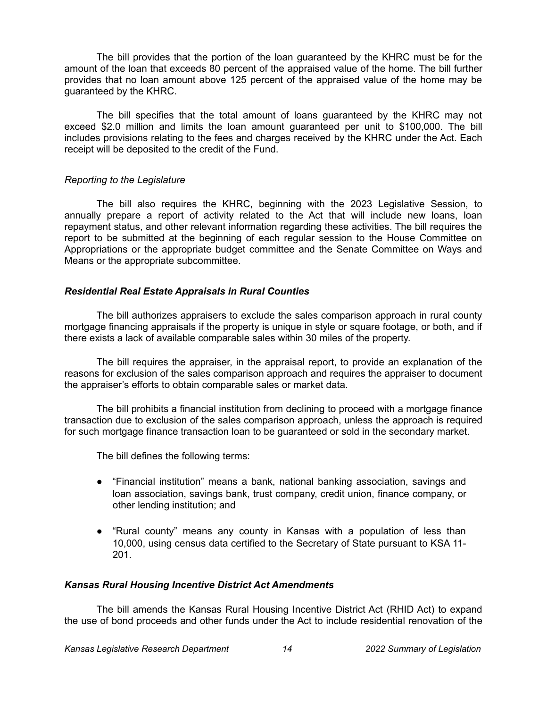The bill provides that the portion of the loan guaranteed by the KHRC must be for the amount of the loan that exceeds 80 percent of the appraised value of the home. The bill further provides that no loan amount above 125 percent of the appraised value of the home may be guaranteed by the KHRC.

The bill specifies that the total amount of loans guaranteed by the KHRC may not exceed \$2.0 million and limits the loan amount guaranteed per unit to \$100,000. The bill includes provisions relating to the fees and charges received by the KHRC under the Act. Each receipt will be deposited to the credit of the Fund.

## *Reporting to the Legislature*

The bill also requires the KHRC, beginning with the 2023 Legislative Session, to annually prepare a report of activity related to the Act that will include new loans, loan repayment status, and other relevant information regarding these activities. The bill requires the report to be submitted at the beginning of each regular session to the House Committee on Appropriations or the appropriate budget committee and the Senate Committee on Ways and Means or the appropriate subcommittee.

## *Residential Real Estate Appraisals in Rural Counties*

The bill authorizes appraisers to exclude the sales comparison approach in rural county mortgage financing appraisals if the property is unique in style or square footage, or both, and if there exists a lack of available comparable sales within 30 miles of the property.

The bill requires the appraiser, in the appraisal report, to provide an explanation of the reasons for exclusion of the sales comparison approach and requires the appraiser to document the appraiser's efforts to obtain comparable sales or market data.

The bill prohibits a financial institution from declining to proceed with a mortgage finance transaction due to exclusion of the sales comparison approach, unless the approach is required for such mortgage finance transaction loan to be guaranteed or sold in the secondary market.

The bill defines the following terms:

- "Financial institution" means a bank, national banking association, savings and loan association, savings bank, trust company, credit union, finance company, or other lending institution; and
- "Rural county" means any county in Kansas with a population of less than 10,000, using census data certified to the Secretary of State pursuant to KSA 11- 201.

## *Kansas Rural Housing Incentive District Act Amendments*

The bill amends the Kansas Rural Housing Incentive District Act (RHID Act) to expand the use of bond proceeds and other funds under the Act to include residential renovation of the